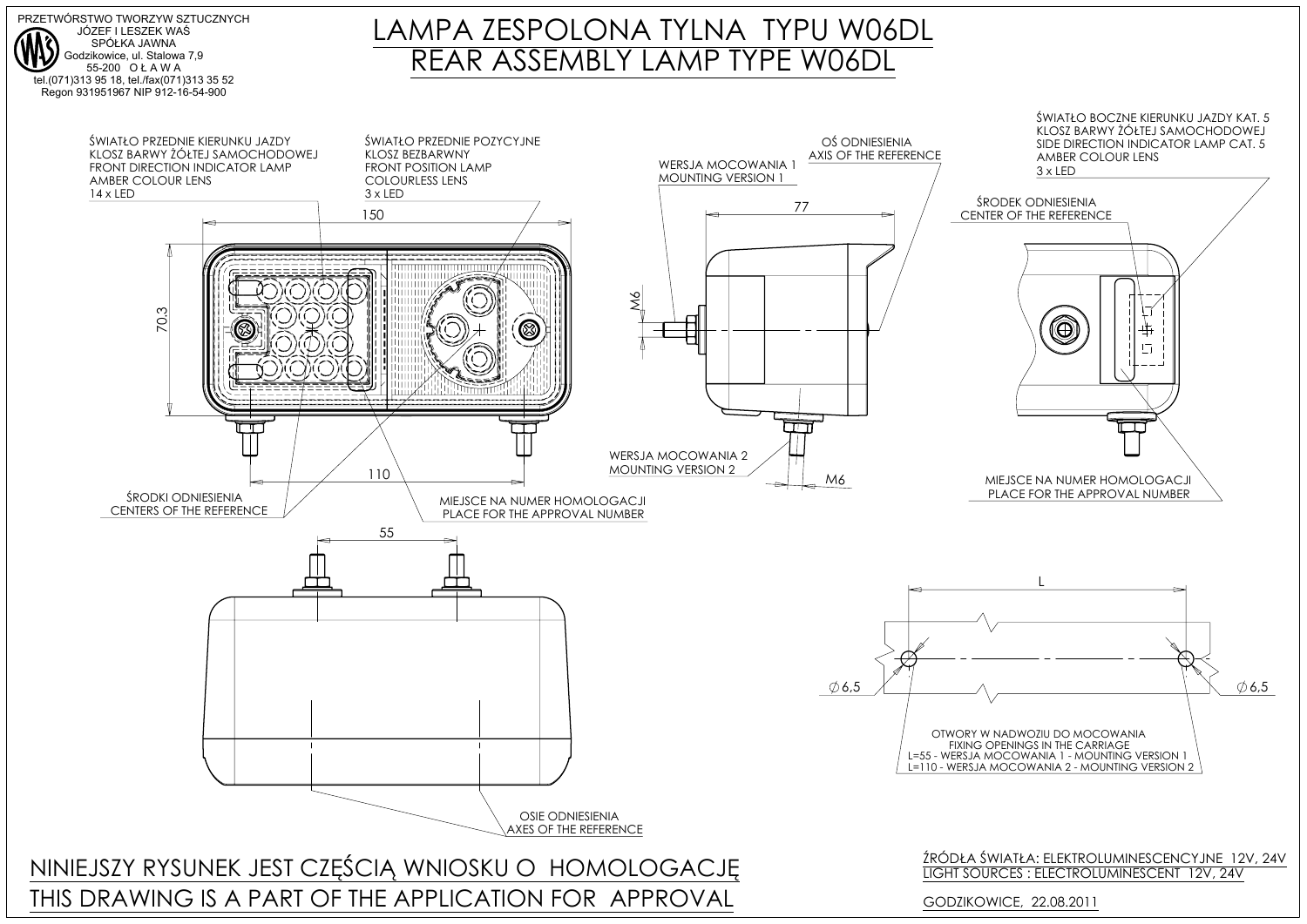